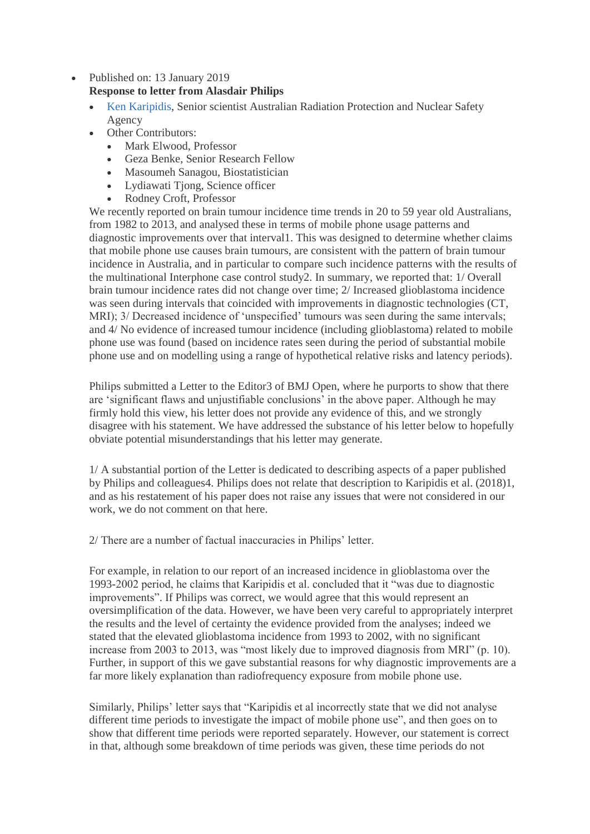- Published on: 13 January 2019 **Response to letter from Alasdair Philips**
	- [Ken Karipidis,](mailto:ken.karipidis@arpansa.gov.au) Senior scientist Australian Radiation Protection and Nuclear Safety Agency
	- Other Contributors:
		- Mark Elwood, Professor
		- Geza Benke, Senior Research Fellow
		- Masoumeh Sanagou, Biostatistician
		- Lydiawati Tjong, Science officer
		- Rodney Croft, Professor

We recently reported on brain tumour incidence time trends in 20 to 59 year old Australians, from 1982 to 2013, and analysed these in terms of mobile phone usage patterns and diagnostic improvements over that interval1. This was designed to determine whether claims that mobile phone use causes brain tumours, are consistent with the pattern of brain tumour incidence in Australia, and in particular to compare such incidence patterns with the results of the multinational Interphone case control study2. In summary, we reported that: 1/ Overall brain tumour incidence rates did not change over time; 2/ Increased glioblastoma incidence was seen during intervals that coincided with improvements in diagnostic technologies (CT, MRI); 3/ Decreased incidence of 'unspecified' tumours was seen during the same intervals; and 4/ No evidence of increased tumour incidence (including glioblastoma) related to mobile phone use was found (based on incidence rates seen during the period of substantial mobile phone use and on modelling using a range of hypothetical relative risks and latency periods).

Philips submitted a Letter to the Editor3 of BMJ Open, where he purports to show that there are 'significant flaws and unjustifiable conclusions' in the above paper. Although he may firmly hold this view, his letter does not provide any evidence of this, and we strongly disagree with his statement. We have addressed the substance of his letter below to hopefully obviate potential misunderstandings that his letter may generate.

1/ A substantial portion of the Letter is dedicated to describing aspects of a paper published by Philips and colleagues4. Philips does not relate that description to Karipidis et al. (2018)1, and as his restatement of his paper does not raise any issues that were not considered in our work, we do not comment on that here.

2/ There are a number of factual inaccuracies in Philips' letter.

For example, in relation to our report of an increased incidence in glioblastoma over the 1993-2002 period, he claims that Karipidis et al. concluded that it "was due to diagnostic improvements". If Philips was correct, we would agree that this would represent an oversimplification of the data. However, we have been very careful to appropriately interpret the results and the level of certainty the evidence provided from the analyses; indeed we stated that the elevated glioblastoma incidence from 1993 to 2002, with no significant increase from 2003 to 2013, was "most likely due to improved diagnosis from MRI" (p. 10). Further, in support of this we gave substantial reasons for why diagnostic improvements are a far more likely explanation than radiofrequency exposure from mobile phone use.

Similarly, Philips' letter says that "Karipidis et al incorrectly state that we did not analyse different time periods to investigate the impact of mobile phone use", and then goes on to show that different time periods were reported separately. However, our statement is correct in that, although some breakdown of time periods was given, these time periods do not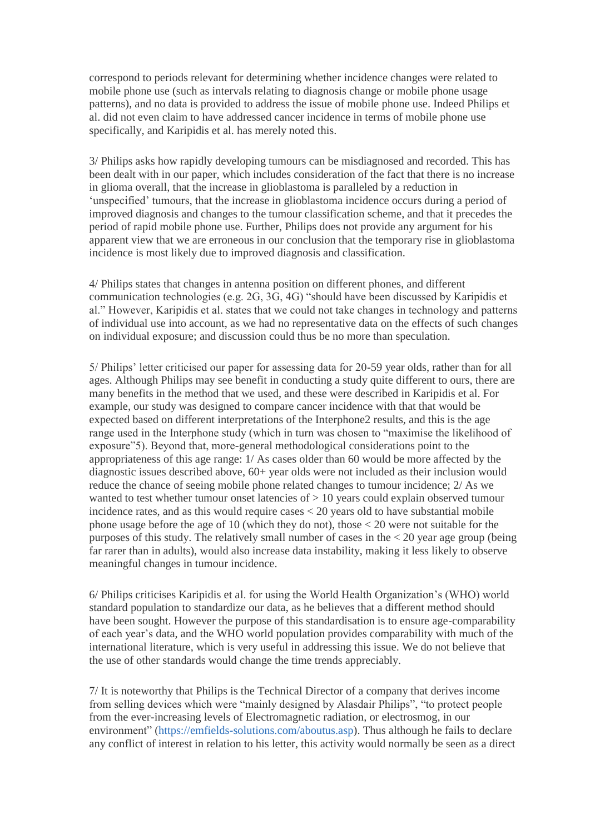correspond to periods relevant for determining whether incidence changes were related to mobile phone use (such as intervals relating to diagnosis change or mobile phone usage patterns), and no data is provided to address the issue of mobile phone use. Indeed Philips et al. did not even claim to have addressed cancer incidence in terms of mobile phone use specifically, and Karipidis et al. has merely noted this.

3/ Philips asks how rapidly developing tumours can be misdiagnosed and recorded. This has been dealt with in our paper, which includes consideration of the fact that there is no increase in glioma overall, that the increase in glioblastoma is paralleled by a reduction in 'unspecified' tumours, that the increase in glioblastoma incidence occurs during a period of improved diagnosis and changes to the tumour classification scheme, and that it precedes the period of rapid mobile phone use. Further, Philips does not provide any argument for his apparent view that we are erroneous in our conclusion that the temporary rise in glioblastoma incidence is most likely due to improved diagnosis and classification.

4/ Philips states that changes in antenna position on different phones, and different communication technologies (e.g. 2G, 3G, 4G) "should have been discussed by Karipidis et al." However, Karipidis et al. states that we could not take changes in technology and patterns of individual use into account, as we had no representative data on the effects of such changes on individual exposure; and discussion could thus be no more than speculation.

5/ Philips' letter criticised our paper for assessing data for 20-59 year olds, rather than for all ages. Although Philips may see benefit in conducting a study quite different to ours, there are many benefits in the method that we used, and these were described in Karipidis et al. For example, our study was designed to compare cancer incidence with that that would be expected based on different interpretations of the Interphone2 results, and this is the age range used in the Interphone study (which in turn was chosen to "maximise the likelihood of exposure"5). Beyond that, more-general methodological considerations point to the appropriateness of this age range: 1/ As cases older than 60 would be more affected by the diagnostic issues described above, 60+ year olds were not included as their inclusion would reduce the chance of seeing mobile phone related changes to tumour incidence; 2/ As we wanted to test whether tumour onset latencies of > 10 years could explain observed tumour incidence rates, and as this would require cases  $<$  20 years old to have substantial mobile phone usage before the age of 10 (which they do not), those < 20 were not suitable for the purposes of this study. The relatively small number of cases in the  $<$  20 year age group (being far rarer than in adults), would also increase data instability, making it less likely to observe meaningful changes in tumour incidence.

6/ Philips criticises Karipidis et al. for using the World Health Organization's (WHO) world standard population to standardize our data, as he believes that a different method should have been sought. However the purpose of this standardisation is to ensure age-comparability of each year's data, and the WHO world population provides comparability with much of the international literature, which is very useful in addressing this issue. We do not believe that the use of other standards would change the time trends appreciably.

7/ It is noteworthy that Philips is the Technical Director of a company that derives income from selling devices which were "mainly designed by Alasdair Philips", "to protect people from the ever-increasing levels of Electromagnetic radiation, or electrosmog, in our environment" [\(https://emfields-solutions.com/aboutus.asp\)](https://emfields-solutions.com/aboutus.asp). Thus although he fails to declare any conflict of interest in relation to his letter, this activity would normally be seen as a direct